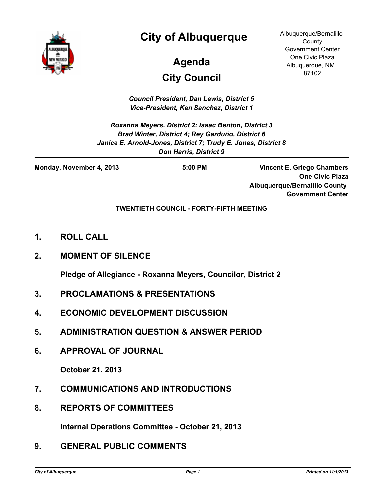

# **City of Albuquerque**

# **City Council Agenda**

Albuquerque/Bernalillo **County** Government Center One Civic Plaza Albuquerque, NM 87102

*Council President, Dan Lewis, District 5 Vice-President, Ken Sanchez, District 1*

*Roxanna Meyers, District 2; Isaac Benton, District 3 Brad Winter, District 4; Rey Garduño, District 6 Janice E. Arnold-Jones, District 7; Trudy E. Jones, District 8 Don Harris, District 9*

| Monday, November 4, 2013 | $5:00$ PM | <b>Vincent E. Griego Chambers</b>    |
|--------------------------|-----------|--------------------------------------|
|                          |           | <b>One Civic Plaza</b>               |
|                          |           | <b>Albuquerque/Bernalillo County</b> |
|                          |           | <b>Government Center</b>             |

#### **TWENTIETH COUNCIL - FORTY-FIFTH MEETING**

- **1. ROLL CALL**
- **2. MOMENT OF SILENCE**

**Pledge of Allegiance - Roxanna Meyers, Councilor, District 2**

- **3. PROCLAMATIONS & PRESENTATIONS**
- **4. ECONOMIC DEVELOPMENT DISCUSSION**
- **5. ADMINISTRATION QUESTION & ANSWER PERIOD**
- **6. APPROVAL OF JOURNAL**

**October 21, 2013**

- **7. COMMUNICATIONS AND INTRODUCTIONS**
- **8. REPORTS OF COMMITTEES**

**Internal Operations Committee - October 21, 2013**

**9. GENERAL PUBLIC COMMENTS**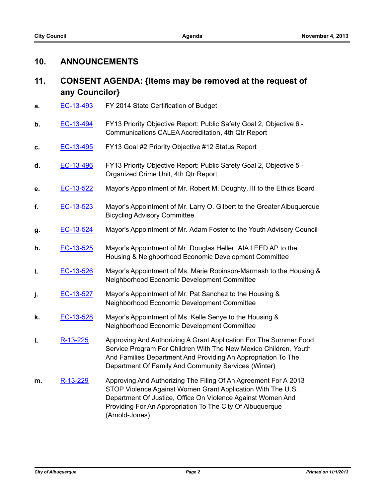# **10. ANNOUNCEMENTS**

# **11. CONSENT AGENDA: {Items may be removed at the request of any Councilor}**

- **a.** [EC-13-493](http://cabq.legistar.com/gateway.aspx?m=l&id=/matter.aspx?key=8920) FY 2014 State Certification of Budget
- **b.** [EC-13-494](http://cabq.legistar.com/gateway.aspx?m=l&id=/matter.aspx?key=8921) FY13 Priority Objective Report: Public Safety Goal 2, Objective 6 -Communications CALEA Accreditation, 4th Qtr Report
- **c.** [EC-13-495](http://cabq.legistar.com/gateway.aspx?m=l&id=/matter.aspx?key=8922) FY13 Goal #2 Priority Objective #12 Status Report
- **d.** [EC-13-496](http://cabq.legistar.com/gateway.aspx?m=l&id=/matter.aspx?key=8923) FY13 Priority Objective Report: Public Safety Goal 2, Objective 5 Organized Crime Unit, 4th Qtr Report
- **e.** [EC-13-522](http://cabq.legistar.com/gateway.aspx?m=l&id=/matter.aspx?key=8990) Mayor's Appointment of Mr. Robert M. Doughty, III to the Ethics Board
- **f.** [EC-13-523](http://cabq.legistar.com/gateway.aspx?m=l&id=/matter.aspx?key=8991) Mayor's Appointment of Mr. Larry O. Gilbert to the Greater Albuquerque Bicycling Advisory Committee
- **g.** [EC-13-524](http://cabq.legistar.com/gateway.aspx?m=l&id=/matter.aspx?key=8992) Mayor's Appointment of Mr. Adam Foster to the Youth Advisory Council
- **h.** [EC-13-525](http://cabq.legistar.com/gateway.aspx?m=l&id=/matter.aspx?key=8993) Mayor's Appointment of Mr. Douglas Heller, AIA LEED AP to the Housing & Neighborhood Economic Development Committee
- **i. [EC-13-526](http://cabq.legistar.com/gateway.aspx?m=l&id=/matter.aspx?key=8994)** Mayor's Appointment of Ms. Marie Robinson-Marmash to the Housing & Neighborhood Economic Development Committee
- **j.** [EC-13-527](http://cabq.legistar.com/gateway.aspx?m=l&id=/matter.aspx?key=8995) Mayor's Appointment of Mr. Pat Sanchez to the Housing & Neighborhood Economic Development Committee
- **k.** [EC-13-528](http://cabq.legistar.com/gateway.aspx?m=l&id=/matter.aspx?key=8996) Mayor's Appointment of Ms. Kelle Senye to the Housing & Neighborhood Economic Development Committee
- **I.** [R-13-225](http://cabq.legistar.com/gateway.aspx?m=l&id=/matter.aspx?key=8927) Approving And Authorizing A Grant Application For The Summer Food Service Program For Children With The New Mexico Children, Youth And Families Department And Providing An Appropriation To The Department Of Family And Community Services (Winter)
- **m.** [R-13-229](http://cabq.legistar.com/gateway.aspx?m=l&id=/matter.aspx?key=8933) Approving And Authorizing The Filing Of An Agreement For A 2013 STOP Violence Against Women Grant Application With The U.S. Department Of Justice, Office On Violence Against Women And Providing For An Appropriation To The City Of Albuquerque (Arnold-Jones)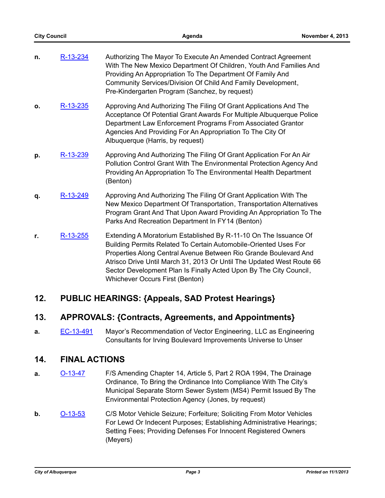| n. | R-13-234 | Authorizing The Mayor To Execute An Amended Contract Agreement     |
|----|----------|--------------------------------------------------------------------|
|    |          | With The New Mexico Department Of Children, Youth And Families And |
|    |          | Providing An Appropriation To The Department Of Family And         |
|    |          | Community Services/Division Of Child And Family Development,       |
|    |          | Pre-Kindergarten Program (Sanchez, by request)                     |

- **o.** [R-13-235](http://cabq.legistar.com/gateway.aspx?m=l&id=/matter.aspx?key=8942) Approving And Authorizing The Filing Of Grant Applications And The Acceptance Of Potential Grant Awards For Multiple Albuquerque Police Department Law Enforcement Programs From Associated Grantor Agencies And Providing For An Appropriation To The City Of Albuquerque (Harris, by request)
- **p.** [R-13-239](http://cabq.legistar.com/gateway.aspx?m=l&id=/matter.aspx?key=8947) Approving And Authorizing The Filing Of Grant Application For An Air Pollution Control Grant With The Environmental Protection Agency And Providing An Appropriation To The Environmental Health Department (Benton)
- **q.** [R-13-249](http://cabq.legistar.com/gateway.aspx?m=l&id=/matter.aspx?key=8969) Approving And Authorizing The Filing Of Grant Application With The New Mexico Department Of Transportation, Transportation Alternatives Program Grant And That Upon Award Providing An Appropriation To The Parks And Recreation Department In FY14 (Benton)
- **r.** [R-13-255](http://cabq.legistar.com/gateway.aspx?m=l&id=/matter.aspx?key=9000) Extending A Moratorium Established By R-11-10 On The Issuance Of Building Permits Related To Certain Automobile-Oriented Uses For Properties Along Central Avenue Between Rio Grande Boulevard And Atrisco Drive Until March 31, 2013 Or Until The Updated West Route 66 Sector Development Plan Is Finally Acted Upon By The City Council, Whichever Occurs First (Benton)

# **12. PUBLIC HEARINGS: {Appeals, SAD Protest Hearings}**

## **13. APPROVALS: {Contracts, Agreements, and Appointments}**

**a.** [EC-13-491](http://cabq.legistar.com/gateway.aspx?m=l&id=/matter.aspx?key=8910) Mayor's Recommendation of Vector Engineering, LLC as Engineering Consultants for Irving Boulevard Improvements Universe to Unser

## **14. FINAL ACTIONS**

- **a. [O-13-47](http://cabq.legistar.com/gateway.aspx?m=l&id=/matter.aspx?key=8729)** F/S Amending Chapter 14, Article 5, Part 2 ROA 1994, The Drainage Ordinance, To Bring the Ordinance Into Compliance With The City's Municipal Separate Storm Sewer System (MS4) Permit Issued By The Environmental Protection Agency (Jones, by request)
- **b. [O-13-53](http://cabq.legistar.com/gateway.aspx?m=l&id=/matter.aspx?key=8824)** C/S Motor Vehicle Seizure; Forfeiture; Soliciting From Motor Vehicles For Lewd Or Indecent Purposes; Establishing Administrative Hearings; Setting Fees; Providing Defenses For Innocent Registered Owners (Meyers)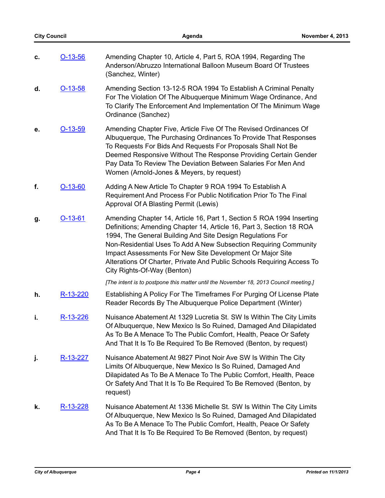|    | <b>City Council</b> | Agenda                                                                                                                                                                                                                                                                                                                                                                                                                                                | November 4, 2013 |
|----|---------------------|-------------------------------------------------------------------------------------------------------------------------------------------------------------------------------------------------------------------------------------------------------------------------------------------------------------------------------------------------------------------------------------------------------------------------------------------------------|------------------|
| c. | $O-13-56$           | Amending Chapter 10, Article 4, Part 5, ROA 1994, Regarding The<br>Anderson/Abruzzo International Balloon Museum Board Of Trustees<br>(Sanchez, Winter)                                                                                                                                                                                                                                                                                               |                  |
| d. | $O-13-58$           | Amending Section 13-12-5 ROA 1994 To Establish A Criminal Penalty<br>For The Violation Of The Albuquerque Minimum Wage Ordinance, And<br>To Clarify The Enforcement And Implementation Of The Minimum Wage<br>Ordinance (Sanchez)                                                                                                                                                                                                                     |                  |
| е. | $O-13-59$           | Amending Chapter Five, Article Five Of The Revised Ordinances Of<br>Albuquerque, The Purchasing Ordinances To Provide That Responses<br>To Requests For Bids And Requests For Proposals Shall Not Be<br>Deemed Responsive Without The Response Providing Certain Gender<br>Pay Data To Review The Deviation Between Salaries For Men And<br>Women (Arnold-Jones & Meyers, by request)                                                                 |                  |
| f. | $O-13-60$           | Adding A New Article To Chapter 9 ROA 1994 To Establish A<br>Requirement And Process For Public Notification Prior To The Final<br>Approval Of A Blasting Permit (Lewis)                                                                                                                                                                                                                                                                              |                  |
| g. | $O-13-61$           | Amending Chapter 14, Article 16, Part 1, Section 5 ROA 1994 Inserting<br>Definitions; Amending Chapter 14, Article 16, Part 3, Section 18 ROA<br>1994, The General Building And Site Design Regulations For<br>Non-Residential Uses To Add A New Subsection Requiring Community<br>Impact Assessments For New Site Development Or Major Site<br>Alterations Of Charter, Private And Public Schools Requiring Access To<br>City Rights-Of-Way (Benton) |                  |
|    |                     | [The intent is to postpone this matter until the November 18, 2013 Council meeting.]                                                                                                                                                                                                                                                                                                                                                                  |                  |
| h. | R-13-220            | Establishing A Policy For The Timeframes For Purging Of License Plate<br>Reader Records By The Albuquerque Police Department (Winter)                                                                                                                                                                                                                                                                                                                 |                  |
| j, | R-13-226            | Nuisance Abatement At 1329 Lucretia St. SW Is Within The City Limits<br>Of Albuquerque, New Mexico Is So Ruined, Damaged And Dilapidated<br>As To Be A Menace To The Public Comfort, Health, Peace Or Safety<br>And That It Is To Be Required To Be Removed (Benton, by request)                                                                                                                                                                      |                  |
| j. | R-13-227            | Nuisance Abatement At 9827 Pinot Noir Ave SW Is Within The City<br>Limits Of Albuquerque, New Mexico Is So Ruined, Damaged And<br>Dilapidated As To Be A Menace To The Public Comfort, Health, Peace<br>Or Safety And That It Is To Be Required To Be Removed (Benton, by<br>request)                                                                                                                                                                 |                  |
| k. | R-13-228            | Nuisance Abatement At 1336 Michelle St. SW Is Within The City Limits<br>Of Albuquerque, New Mexico Is So Ruined, Damaged And Dilapidated<br>As To Be A Menace To The Public Comfort, Health, Peace Or Safety<br>And That It Is To Be Required To Be Removed (Benton, by request)                                                                                                                                                                      |                  |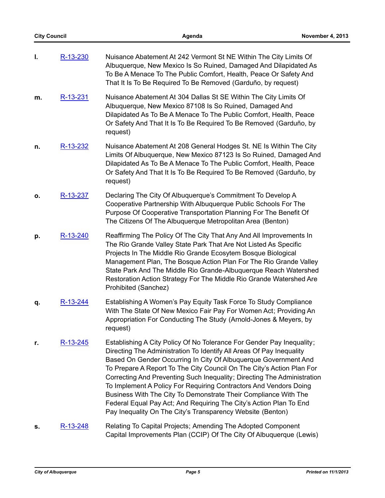| I. | R-13-230 | Nuisance Abatement At 242 Vermont St NE Within The City Limits Of<br>Albuquerque, New Mexico Is So Ruined, Damaged And Dilapidated As<br>To Be A Menace To The Public Comfort, Health, Peace Or Safety And<br>That It Is To Be Required To Be Removed (Garduño, by request)                                                                                                                                                                                                                                                                                                                                                                      |
|----|----------|--------------------------------------------------------------------------------------------------------------------------------------------------------------------------------------------------------------------------------------------------------------------------------------------------------------------------------------------------------------------------------------------------------------------------------------------------------------------------------------------------------------------------------------------------------------------------------------------------------------------------------------------------|
| m. | R-13-231 | Nuisance Abatement At 304 Dallas St SE Within The City Limits Of<br>Albuquerque, New Mexico 87108 Is So Ruined, Damaged And<br>Dilapidated As To Be A Menace To The Public Comfort, Health, Peace<br>Or Safety And That It Is To Be Required To Be Removed (Garduño, by<br>request)                                                                                                                                                                                                                                                                                                                                                              |
| n. | R-13-232 | Nuisance Abatement At 208 General Hodges St. NE Is Within The City<br>Limits Of Albuquerque, New Mexico 87123 Is So Ruined, Damaged And<br>Dilapidated As To Be A Menace To The Public Comfort, Health, Peace<br>Or Safety And That It Is To Be Required To Be Removed (Garduño, by<br>request)                                                                                                                                                                                                                                                                                                                                                  |
| Ο. | R-13-237 | Declaring The City Of Albuquerque's Commitment To Develop A<br>Cooperative Partnership With Albuquerque Public Schools For The<br>Purpose Of Cooperative Transportation Planning For The Benefit Of<br>The Citizens Of The Albuquerque Metropolitan Area (Benton)                                                                                                                                                                                                                                                                                                                                                                                |
| p. | R-13-240 | Reaffirming The Policy Of The City That Any And All Improvements In<br>The Rio Grande Valley State Park That Are Not Listed As Specific<br>Projects In The Middle Rio Grande Ecosytem Bosque Biological<br>Management Plan, The Bosque Action Plan For The Rio Grande Valley<br>State Park And The Middle Rio Grande-Albuquerque Reach Watershed<br>Restoration Action Strategy For The Middle Rio Grande Watershed Are<br>Prohibited (Sanchez)                                                                                                                                                                                                  |
| q. | R-13-244 | Establishing A Women's Pay Equity Task Force To Study Compliance<br>With The State Of New Mexico Fair Pay For Women Act; Providing An<br>Appropriation For Conducting The Study (Arnold-Jones & Meyers, by<br>request)                                                                                                                                                                                                                                                                                                                                                                                                                           |
| r. | R-13-245 | Establishing A City Policy Of No Tolerance For Gender Pay Inequality;<br>Directing The Administration To Identify All Areas Of Pay Inequality<br>Based On Gender Occurring In City Of Albuquerque Government And<br>To Prepare A Report To The City Council On The City's Action Plan For<br>Correcting And Preventing Such Inequality; Directing The Administration<br>To Implement A Policy For Requiring Contractors And Vendors Doing<br>Business With The City To Demonstrate Their Compliance With The<br>Federal Equal Pay Act; And Requiring The City's Action Plan To End<br>Pay Inequality On The City's Transparency Website (Benton) |
| s. | R-13-248 | Relating To Capital Projects; Amending The Adopted Component                                                                                                                                                                                                                                                                                                                                                                                                                                                                                                                                                                                     |

Capital Improvements Plan (CCIP) Of The City Of Albuquerque (Lewis)